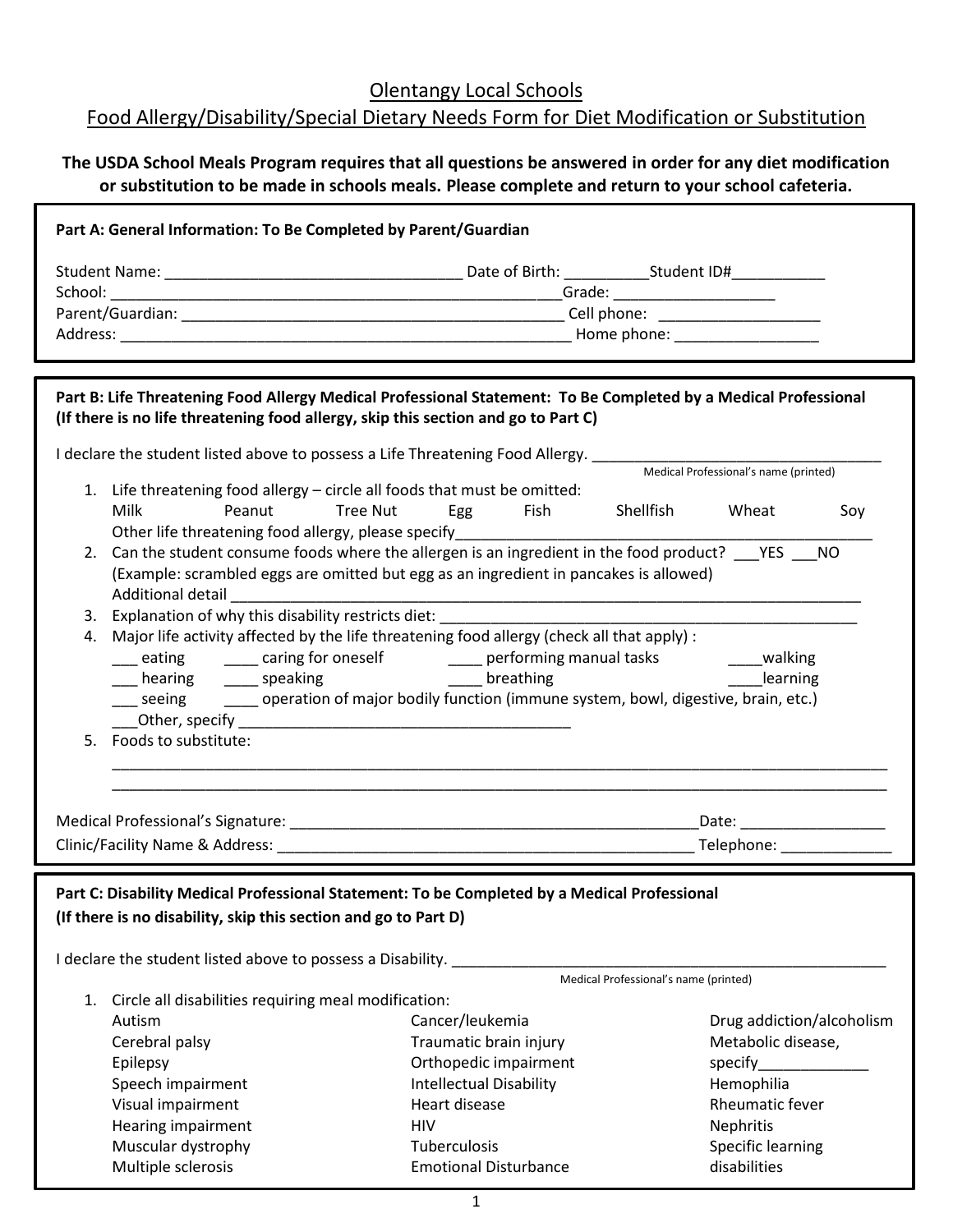Olentangy Local Schools

## Food Allergy/Disability/Special Dietary Needs Form for Diet Modification or Substitution

## **The USDA School Meals Program requires that all questions be answered in order for any diet modification or substitution to be made in schools meals. Please complete and return to your school cafeteria.**

| Part A: General Information: To Be Completed by Parent/Guardian                                                                                                                                       |                                                         |                                       |  |
|-------------------------------------------------------------------------------------------------------------------------------------------------------------------------------------------------------|---------------------------------------------------------|---------------------------------------|--|
|                                                                                                                                                                                                       |                                                         |                                       |  |
|                                                                                                                                                                                                       |                                                         |                                       |  |
|                                                                                                                                                                                                       |                                                         |                                       |  |
|                                                                                                                                                                                                       |                                                         |                                       |  |
|                                                                                                                                                                                                       |                                                         |                                       |  |
| Part B: Life Threatening Food Allergy Medical Professional Statement: To Be Completed by a Medical Professional<br>(If there is no life threatening food allergy, skip this section and go to Part C) |                                                         |                                       |  |
| I declare the student listed above to possess a Life Threatening Food Allergy.                                                                                                                        |                                                         |                                       |  |
| Medical Professional's name (printed)                                                                                                                                                                 |                                                         |                                       |  |
| 1. Life threatening food allergy - circle all foods that must be omitted:                                                                                                                             |                                                         |                                       |  |
| Milk<br>Peanut<br><b>Tree Nut</b>                                                                                                                                                                     | Egg<br>Fish                                             | Shellfish Wheat<br>Soy                |  |
|                                                                                                                                                                                                       |                                                         |                                       |  |
| 2. Can the student consume foods where the allergen is an ingredient in the food product? ___ YES ___ NO<br>(Example: scrambled eggs are omitted but egg as an ingredient in pancakes is allowed)     |                                                         |                                       |  |
| Additional detail                                                                                                                                                                                     |                                                         |                                       |  |
| Explanation of why this disability restricts diet:<br>3.                                                                                                                                              |                                                         |                                       |  |
| 4. Major life activity affected by the life threatening food allergy (check all that apply) :                                                                                                         |                                                         |                                       |  |
| eating _______ caring for oneself ___________ performing manual tasks __________ walking                                                                                                              |                                                         |                                       |  |
|                                                                                                                                                                                                       | ___ hearing _____ speaking ______ breathing<br>learning |                                       |  |
| seeing ________ operation of major bodily function (immune system, bowl, digestive, brain, etc.)                                                                                                      |                                                         |                                       |  |
|                                                                                                                                                                                                       |                                                         |                                       |  |
| 5. Foods to substitute:                                                                                                                                                                               |                                                         |                                       |  |
|                                                                                                                                                                                                       |                                                         |                                       |  |
|                                                                                                                                                                                                       |                                                         |                                       |  |
|                                                                                                                                                                                                       |                                                         |                                       |  |
|                                                                                                                                                                                                       |                                                         | Telephone: _______________            |  |
|                                                                                                                                                                                                       |                                                         |                                       |  |
| Part C: Disability Medical Professional Statement: To be Completed by a Medical Professional                                                                                                          |                                                         |                                       |  |
| (If there is no disability, skip this section and go to Part D)                                                                                                                                       |                                                         |                                       |  |
|                                                                                                                                                                                                       |                                                         |                                       |  |
| I declare the student listed above to possess a Disability.                                                                                                                                           |                                                         | Medical Professional's name (printed) |  |
| Circle all disabilities requiring meal modification:<br>1.                                                                                                                                            |                                                         |                                       |  |
| Autism                                                                                                                                                                                                | Cancer/leukemia                                         | Drug addiction/alcoholism             |  |
| Cerebral palsy                                                                                                                                                                                        | Traumatic brain injury                                  | Metabolic disease,                    |  |
| Epilepsy                                                                                                                                                                                              | Orthopedic impairment                                   | specify                               |  |
| Speech impairment                                                                                                                                                                                     | <b>Intellectual Disability</b>                          | Hemophilia                            |  |
| Visual impairment                                                                                                                                                                                     | Heart disease                                           | Rheumatic fever                       |  |
| Hearing impairment                                                                                                                                                                                    | HIV                                                     | Nephritis                             |  |
| Muscular dystrophy                                                                                                                                                                                    | Tuberculosis                                            | Specific learning                     |  |
| Multiple sclerosis                                                                                                                                                                                    | <b>Emotional Disturbance</b>                            | disabilities                          |  |